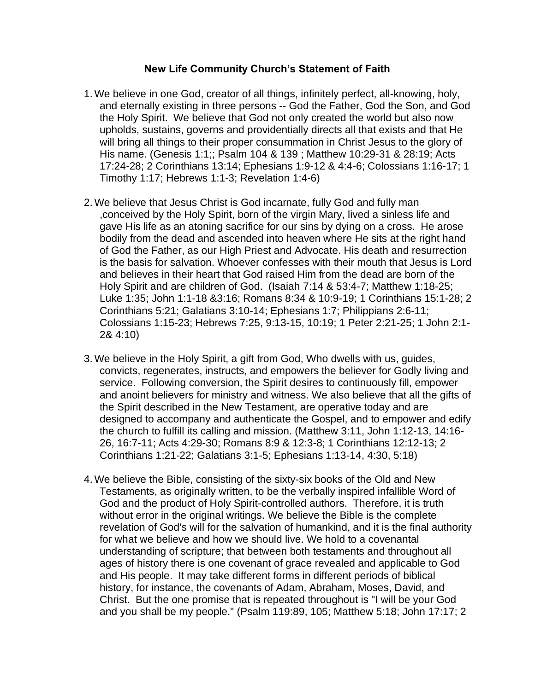## **New Life Community Church's Statement of Faith**

- 1. We believe in one God, creator of all things, infinitely perfect, all-knowing, holy, and eternally existing in three persons -- God the Father, God the Son, and God the Holy Spirit. We believe that God not only created the world but also now upholds, sustains, governs and providentially directs all that exists and that He will bring all things to their proper consummation in Christ Jesus to the glory of His name. (Genesis 1:1;; Psalm 104 & 139 ; Matthew 10:29-31 & 28:19; Acts 17:24-28; 2 Corinthians 13:14; Ephesians 1:9-12 & 4:4-6; Colossians 1:16-17; 1 Timothy 1:17; Hebrews 1:1-3; Revelation 1:4-6)
- 2. We believe that Jesus Christ is God incarnate, fully God and fully man ,conceived by the Holy Spirit, born of the virgin Mary, lived a sinless life and gave His life as an atoning sacrifice for our sins by dying on a cross. He arose bodily from the dead and ascended into heaven where He sits at the right hand of God the Father, as our High Priest and Advocate. His death and resurrection is the basis for salvation. Whoever confesses with their mouth that Jesus is Lord and believes in their heart that God raised Him from the dead are born of the Holy Spirit and are children of God. (Isaiah 7:14 & 53:4-7; Matthew 1:18-25; Luke 1:35; John 1:1-18 &3:16; Romans 8:34 & 10:9-19; 1 Corinthians 15:1-28; 2 Corinthians 5:21; Galatians 3:10-14; Ephesians 1:7; Philippians 2:6-11; Colossians 1:15-23; Hebrews 7:25, 9:13-15, 10:19; 1 Peter 2:21-25; 1 John 2:1- 2& 4:10)
- 3. We believe in the Holy Spirit, a gift from God, Who dwells with us, guides, convicts, regenerates, instructs, and empowers the believer for Godly living and service. Following conversion, the Spirit desires to continuously fill, empower and anoint believers for ministry and witness. We also believe that all the gifts of the Spirit described in the New Testament, are operative today and are designed to accompany and authenticate the Gospel, and to empower and edify the church to fulfill its calling and mission. (Matthew 3:11, John 1:12-13, 14:16- 26, 16:7-11; Acts 4:29-30; Romans 8:9 & 12:3-8; 1 Corinthians 12:12-13; 2 Corinthians 1:21-22; Galatians 3:1-5; Ephesians 1:13-14, 4:30, 5:18)
- 4. We believe the Bible, consisting of the sixty-six books of the Old and New Testaments, as originally written, to be the verbally inspired infallible Word of God and the product of Holy Spirit-controlled authors. Therefore, it is truth without error in the original writings. We believe the Bible is the complete revelation of God's will for the salvation of humankind, and it is the final authority for what we believe and how we should live. We hold to a covenantal understanding of scripture; that between both testaments and throughout all ages of history there is one covenant of grace revealed and applicable to God and His people. It may take different forms in different periods of biblical history, for instance, the covenants of Adam, Abraham, Moses, David, and Christ. But the one promise that is repeated throughout is "I will be your God and you shall be my people." (Psalm 119:89, 105; Matthew 5:18; John 17:17; 2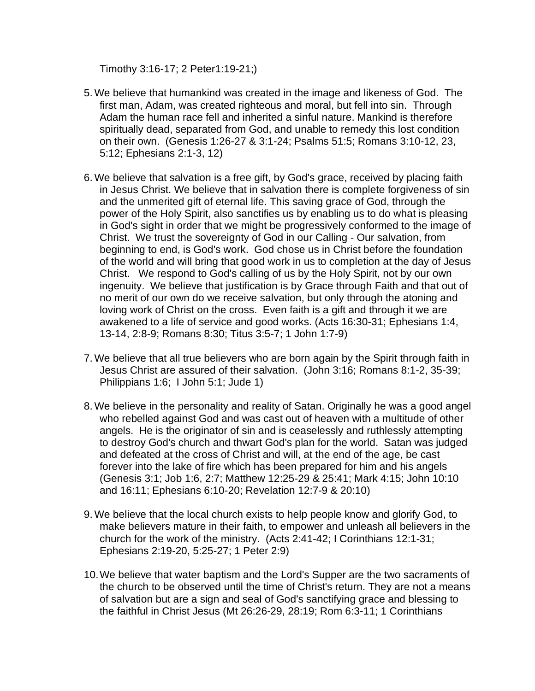Timothy 3:16-17; 2 Peter1:19-21;)

- 5. We believe that humankind was created in the image and likeness of God. The first man, Adam, was created righteous and moral, but fell into sin. Through Adam the human race fell and inherited a sinful nature. Mankind is therefore spiritually dead, separated from God, and unable to remedy this lost condition on their own. (Genesis 1:26-27 & 3:1-24; Psalms 51:5; Romans 3:10-12, 23, 5:12; Ephesians 2:1-3, 12)
- 6. We believe that salvation is a free gift, by God's grace, received by placing faith in Jesus Christ. We believe that in salvation there is complete forgiveness of sin and the unmerited gift of eternal life. This saving grace of God, through the power of the Holy Spirit, also sanctifies us by enabling us to do what is pleasing in God's sight in order that we might be progressively conformed to the image of Christ. We trust the sovereignty of God in our Calling - Our salvation, from beginning to end, is God's work. God chose us in Christ before the foundation of the world and will bring that good work in us to completion at the day of Jesus Christ. We respond to God's calling of us by the Holy Spirit, not by our own ingenuity. We believe that justification is by Grace through Faith and that out of no merit of our own do we receive salvation, but only through the atoning and loving work of Christ on the cross. Even faith is a gift and through it we are awakened to a life of service and good works. (Acts 16:30-31; Ephesians 1:4, 13-14, 2:8-9; Romans 8:30; Titus 3:5-7; 1 John 1:7-9)
- 7. We believe that all true believers who are born again by the Spirit through faith in Jesus Christ are assured of their salvation. (John 3:16; Romans 8:1-2, 35-39; Philippians 1:6; I John 5:1; Jude 1)
- 8. We believe in the personality and reality of Satan. Originally he was a good angel who rebelled against God and was cast out of heaven with a multitude of other angels. He is the originator of sin and is ceaselessly and ruthlessly attempting to destroy God's church and thwart God's plan for the world. Satan was judged and defeated at the cross of Christ and will, at the end of the age, be cast forever into the lake of fire which has been prepared for him and his angels (Genesis 3:1; Job 1:6, 2:7; Matthew 12:25-29 & 25:41; Mark 4:15; John 10:10 and 16:11; Ephesians 6:10-20; Revelation 12:7-9 & 20:10)
- 9. We believe that the local church exists to help people know and glorify God, to make believers mature in their faith, to empower and unleash all believers in the church for the work of the ministry. (Acts 2:41-42; I Corinthians 12:1-31; Ephesians 2:19-20, 5:25-27; 1 Peter 2:9)
- 10.We believe that water baptism and the Lord's Supper are the two sacraments of the church to be observed until the time of Christ's return. They are not a means of salvation but are a sign and seal of God's sanctifying grace and blessing to the faithful in Christ Jesus (Mt 26:26-29, 28:19; Rom 6:3-11; 1 Corinthians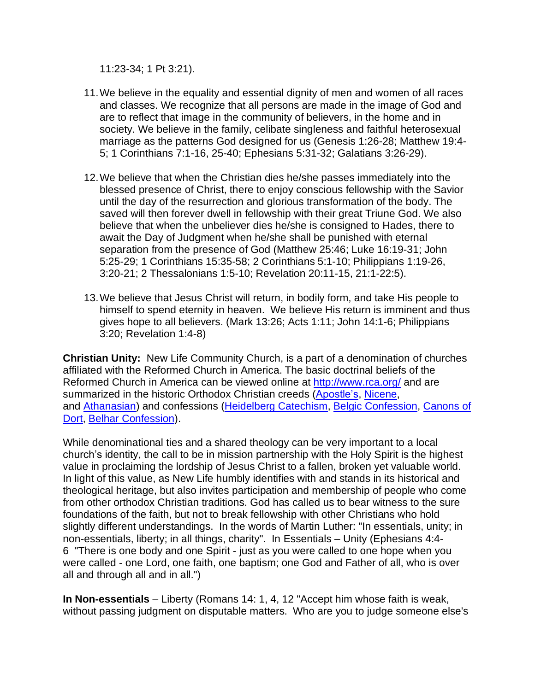11:23-34; 1 Pt 3:21).

- 11.We believe in the equality and essential dignity of men and women of all races and classes. We recognize that all persons are made in the image of God and are to reflect that image in the community of believers, in the home and in society. We believe in the family, celibate singleness and faithful heterosexual marriage as the patterns God designed for us (Genesis 1:26-28; Matthew 19:4- 5; 1 Corinthians 7:1-16, 25-40; Ephesians 5:31-32; Galatians 3:26-29).
- 12.We believe that when the Christian dies he/she passes immediately into the blessed presence of Christ, there to enjoy conscious fellowship with the Savior until the day of the resurrection and glorious transformation of the body. The saved will then forever dwell in fellowship with their great Triune God. We also believe that when the unbeliever dies he/she is consigned to Hades, there to await the Day of Judgment when he/she shall be punished with eternal separation from the presence of God (Matthew 25:46; Luke 16:19-31; John 5:25-29; 1 Corinthians 15:35-58; 2 Corinthians 5:1-10; Philippians 1:19-26, 3:20-21; 2 Thessalonians 1:5-10; Revelation 20:11-15, 21:1-22:5).
- 13.We believe that Jesus Christ will return, in bodily form, and take His people to himself to spend eternity in heaven. We believe His return is imminent and thus gives hope to all believers. (Mark 13:26; Acts 1:11; John 14:1-6; Philippians 3:20; Revelation 1:4-8)

**Christian Unity:** New Life Community Church, is a part of a denomination of churches affiliated with the Reformed Church in America. The basic doctrinal beliefs of the Reformed Church in America can be viewed online at [http://www.rca.org/](https://www.rca.org/) and are summarized in the historic Orthodox Christian creeds [\(Apostle's,](https://www.rca.org/resources/apostles-creed) [Nicene,](https://www.rca.org/resources/nicene-creed) and [Athanasian\)](https://www.rca.org/resources/athanasian-creed) and confessions [\(Heidelberg](https://www.rca.org/heidelberg) Catechism, Belgic [Confession,](https://www.rca.org/belgic) [Canons](https://www.rca.org/canons) of [Dort,](https://www.rca.org/canons) Belhar [Confession\)](https://www.rca.org/belhar-confession).

While denominational ties and a shared theology can be very important to a local church's identity, the call to be in mission partnership with the Holy Spirit is the highest value in proclaiming the lordship of Jesus Christ to a fallen, broken yet valuable world. In light of this value, as New Life humbly identifies with and stands in its historical and theological heritage, but also invites participation and membership of people who come from other orthodox Christian traditions. God has called us to bear witness to the sure foundations of the faith, but not to break fellowship with other Christians who hold slightly different understandings. In the words of Martin Luther: "In essentials, unity; in non-essentials, liberty; in all things, charity". In Essentials – Unity (Ephesians 4:4- 6 "There is one body and one Spirit - just as you were called to one hope when you were called - one Lord, one faith, one baptism; one God and Father of all, who is over all and through all and in all.")

**In Non-essentials** – Liberty (Romans 14: 1, 4, 12 "Accept him whose faith is weak, without passing judgment on disputable matters. Who are you to judge someone else's